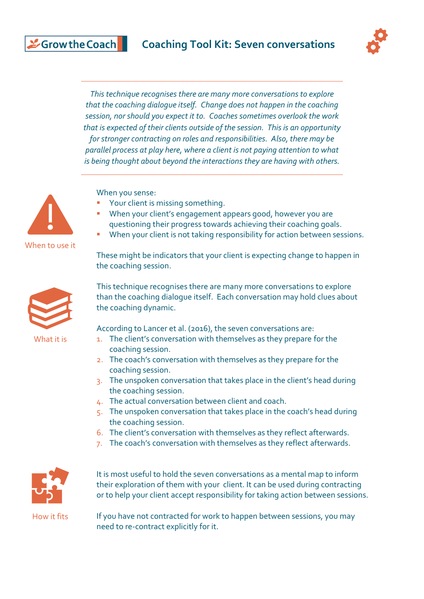

*This technique recognises there are many more conversations to explore that the coaching dialogue itself. Change does not happen in the coaching session, nor should you expect it to. Coaches sometimes overlook the work that is expected of their clients outside of the session. This is an opportunity for stronger contracting on roles and responsibilities. Also, there may be parallel process at play here, where a client is not paying attention to what is being thought about beyond the interactions they are having with others.*



Scrow the Coach

When to use it



What it is

When you sense:

- Your client is missing something.
- When your client's engagement appears good, however you are questioning their progress towards achieving their coaching goals.
- When your client is not taking responsibility for action between sessions.

These might be indicators that your client is expecting change to happen in the coaching session.

This technique recognises there are many more conversations to explore than the coaching dialogue itself. Each conversation may hold clues about the coaching dynamic.

According to Lancer et al. (2016), the seven conversations are:

- 1. The client's conversation with themselves as they prepare for the coaching session.
- 2. The coach's conversation with themselves as they prepare for the coaching session.
- 3. The unspoken conversation that takes place in the client's head during the coaching session.
- 4. The actual conversation between client and coach.
- 5. The unspoken conversation that takes place in the coach's head during the coaching session.
- 6. The client's conversation with themselves as they reflect afterwards.
- 7. The coach's conversation with themselves as they reflect afterwards.



It is most useful to hold the seven conversations as a mental map to inform their exploration of them with your client. It can be used during contracting or to help your client accept responsibility for taking action between sessions.

How it fits

If you have not contracted for work to happen between sessions, you may need to re-contract explicitly for it.